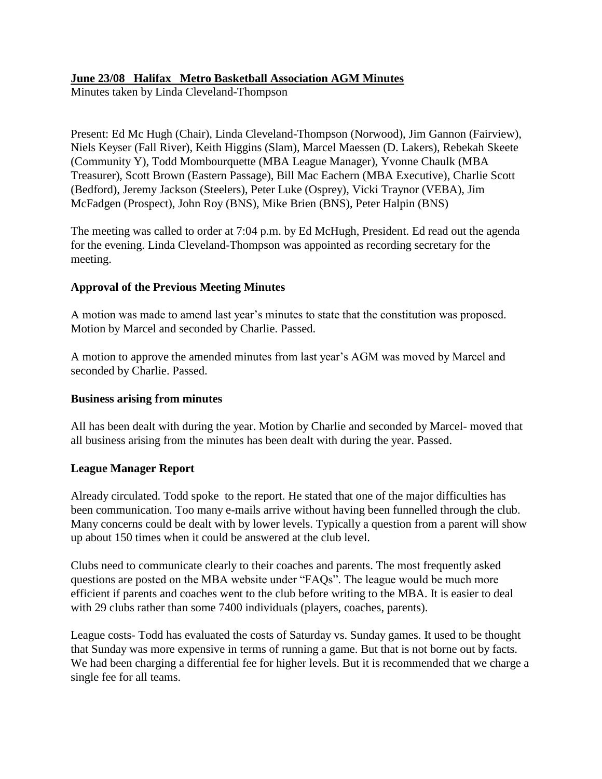# **June 23/08 Halifax Metro Basketball Association AGM Minutes**

Minutes taken by Linda Cleveland-Thompson

Present: Ed Mc Hugh (Chair), Linda Cleveland-Thompson (Norwood), Jim Gannon (Fairview), Niels Keyser (Fall River), Keith Higgins (Slam), Marcel Maessen (D. Lakers), Rebekah Skeete (Community Y), Todd Mombourquette (MBA League Manager), Yvonne Chaulk (MBA Treasurer), Scott Brown (Eastern Passage), Bill Mac Eachern (MBA Executive), Charlie Scott (Bedford), Jeremy Jackson (Steelers), Peter Luke (Osprey), Vicki Traynor (VEBA), Jim McFadgen (Prospect), John Roy (BNS), Mike Brien (BNS), Peter Halpin (BNS)

The meeting was called to order at 7:04 p.m. by Ed McHugh, President. Ed read out the agenda for the evening. Linda Cleveland-Thompson was appointed as recording secretary for the meeting.

# **Approval of the Previous Meeting Minutes**

A motion was made to amend last year's minutes to state that the constitution was proposed. Motion by Marcel and seconded by Charlie. Passed.

A motion to approve the amended minutes from last year's AGM was moved by Marcel and seconded by Charlie. Passed.

# **Business arising from minutes**

All has been dealt with during the year. Motion by Charlie and seconded by Marcel- moved that all business arising from the minutes has been dealt with during the year. Passed.

# **League Manager Report**

Already circulated. Todd spoke to the report. He stated that one of the major difficulties has been communication. Too many e-mails arrive without having been funnelled through the club. Many concerns could be dealt with by lower levels. Typically a question from a parent will show up about 150 times when it could be answered at the club level.

Clubs need to communicate clearly to their coaches and parents. The most frequently asked questions are posted on the MBA website under "FAQs". The league would be much more efficient if parents and coaches went to the club before writing to the MBA. It is easier to deal with 29 clubs rather than some 7400 individuals (players, coaches, parents).

League costs- Todd has evaluated the costs of Saturday vs. Sunday games. It used to be thought that Sunday was more expensive in terms of running a game. But that is not borne out by facts. We had been charging a differential fee for higher levels. But it is recommended that we charge a single fee for all teams.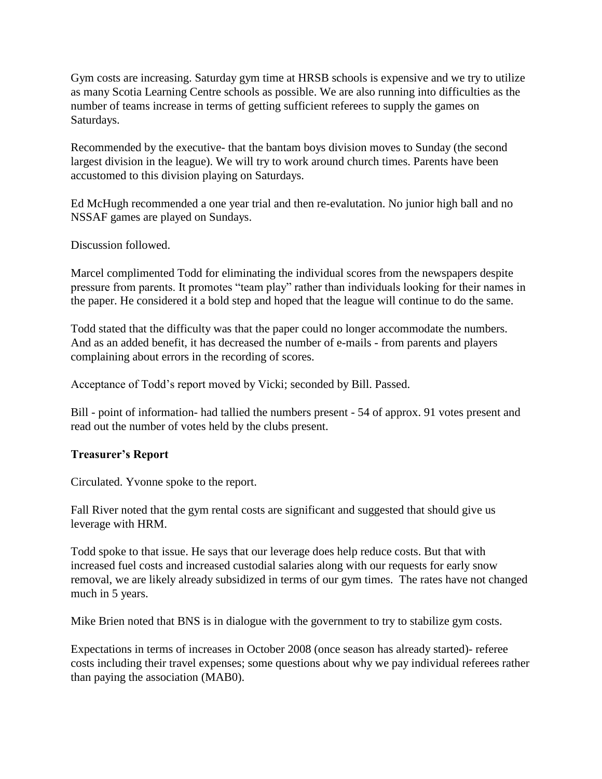Gym costs are increasing. Saturday gym time at HRSB schools is expensive and we try to utilize as many Scotia Learning Centre schools as possible. We are also running into difficulties as the number of teams increase in terms of getting sufficient referees to supply the games on Saturdays.

Recommended by the executive- that the bantam boys division moves to Sunday (the second largest division in the league). We will try to work around church times. Parents have been accustomed to this division playing on Saturdays.

Ed McHugh recommended a one year trial and then re-evalutation. No junior high ball and no NSSAF games are played on Sundays.

Discussion followed.

Marcel complimented Todd for eliminating the individual scores from the newspapers despite pressure from parents. It promotes "team play" rather than individuals looking for their names in the paper. He considered it a bold step and hoped that the league will continue to do the same.

Todd stated that the difficulty was that the paper could no longer accommodate the numbers. And as an added benefit, it has decreased the number of e-mails - from parents and players complaining about errors in the recording of scores.

Acceptance of Todd's report moved by Vicki; seconded by Bill. Passed.

Bill - point of information- had tallied the numbers present - 54 of approx. 91 votes present and read out the number of votes held by the clubs present.

# **Treasurer's Report**

Circulated. Yvonne spoke to the report.

Fall River noted that the gym rental costs are significant and suggested that should give us leverage with HRM.

Todd spoke to that issue. He says that our leverage does help reduce costs. But that with increased fuel costs and increased custodial salaries along with our requests for early snow removal, we are likely already subsidized in terms of our gym times. The rates have not changed much in 5 years.

Mike Brien noted that BNS is in dialogue with the government to try to stabilize gym costs.

Expectations in terms of increases in October 2008 (once season has already started)- referee costs including their travel expenses; some questions about why we pay individual referees rather than paying the association (MAB0).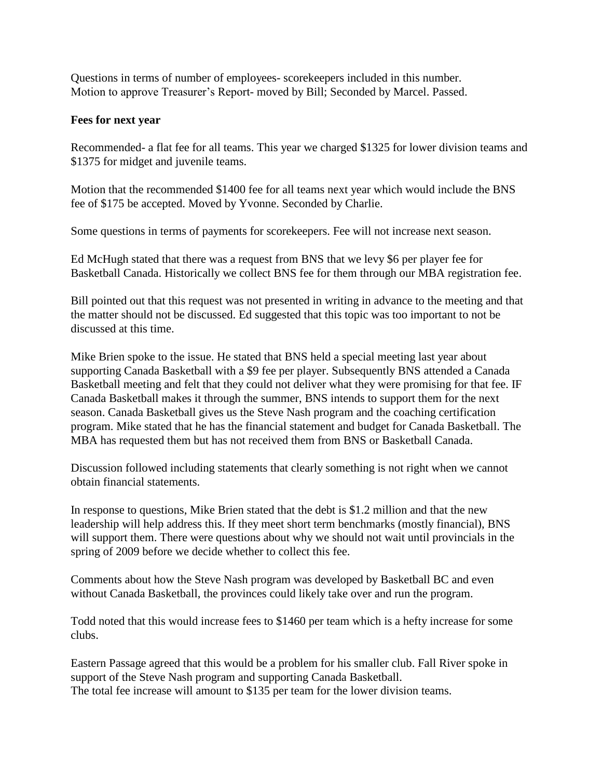Questions in terms of number of employees- scorekeepers included in this number. Motion to approve Treasurer's Report- moved by Bill; Seconded by Marcel. Passed.

### **Fees for next year**

Recommended- a flat fee for all teams. This year we charged \$1325 for lower division teams and \$1375 for midget and juvenile teams.

Motion that the recommended \$1400 fee for all teams next year which would include the BNS fee of \$175 be accepted. Moved by Yvonne. Seconded by Charlie.

Some questions in terms of payments for scorekeepers. Fee will not increase next season.

Ed McHugh stated that there was a request from BNS that we levy \$6 per player fee for Basketball Canada. Historically we collect BNS fee for them through our MBA registration fee.

Bill pointed out that this request was not presented in writing in advance to the meeting and that the matter should not be discussed. Ed suggested that this topic was too important to not be discussed at this time.

Mike Brien spoke to the issue. He stated that BNS held a special meeting last year about supporting Canada Basketball with a \$9 fee per player. Subsequently BNS attended a Canada Basketball meeting and felt that they could not deliver what they were promising for that fee. IF Canada Basketball makes it through the summer, BNS intends to support them for the next season. Canada Basketball gives us the Steve Nash program and the coaching certification program. Mike stated that he has the financial statement and budget for Canada Basketball. The MBA has requested them but has not received them from BNS or Basketball Canada.

Discussion followed including statements that clearly something is not right when we cannot obtain financial statements.

In response to questions, Mike Brien stated that the debt is \$1.2 million and that the new leadership will help address this. If they meet short term benchmarks (mostly financial), BNS will support them. There were questions about why we should not wait until provincials in the spring of 2009 before we decide whether to collect this fee.

Comments about how the Steve Nash program was developed by Basketball BC and even without Canada Basketball, the provinces could likely take over and run the program.

Todd noted that this would increase fees to \$1460 per team which is a hefty increase for some clubs.

Eastern Passage agreed that this would be a problem for his smaller club. Fall River spoke in support of the Steve Nash program and supporting Canada Basketball. The total fee increase will amount to \$135 per team for the lower division teams.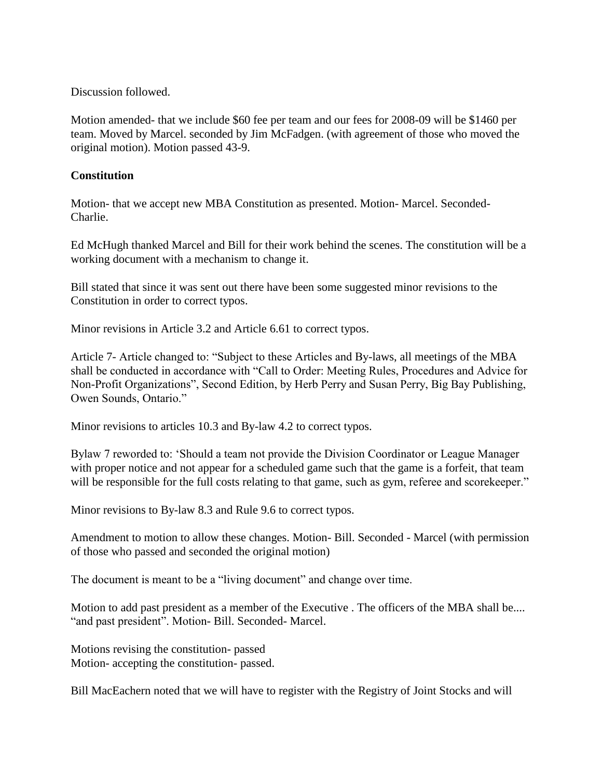Discussion followed.

Motion amended- that we include \$60 fee per team and our fees for 2008-09 will be \$1460 per team. Moved by Marcel. seconded by Jim McFadgen. (with agreement of those who moved the original motion). Motion passed 43-9.

### **Constitution**

Motion- that we accept new MBA Constitution as presented. Motion- Marcel. Seconded-Charlie.

Ed McHugh thanked Marcel and Bill for their work behind the scenes. The constitution will be a working document with a mechanism to change it.

Bill stated that since it was sent out there have been some suggested minor revisions to the Constitution in order to correct typos.

Minor revisions in Article 3.2 and Article 6.61 to correct typos.

Article 7- Article changed to: "Subject to these Articles and By-laws, all meetings of the MBA shall be conducted in accordance with "Call to Order: Meeting Rules, Procedures and Advice for Non-Profit Organizations", Second Edition, by Herb Perry and Susan Perry, Big Bay Publishing, Owen Sounds, Ontario."

Minor revisions to articles 10.3 and By-law 4.2 to correct typos.

Bylaw 7 reworded to: 'Should a team not provide the Division Coordinator or League Manager with proper notice and not appear for a scheduled game such that the game is a forfeit, that team will be responsible for the full costs relating to that game, such as gym, referee and scorekeeper."

Minor revisions to By-law 8.3 and Rule 9.6 to correct typos.

Amendment to motion to allow these changes. Motion- Bill. Seconded - Marcel (with permission of those who passed and seconded the original motion)

The document is meant to be a "living document" and change over time.

Motion to add past president as a member of the Executive . The officers of the MBA shall be.... "and past president". Motion- Bill. Seconded- Marcel.

Motions revising the constitution- passed Motion- accepting the constitution- passed.

Bill MacEachern noted that we will have to register with the Registry of Joint Stocks and will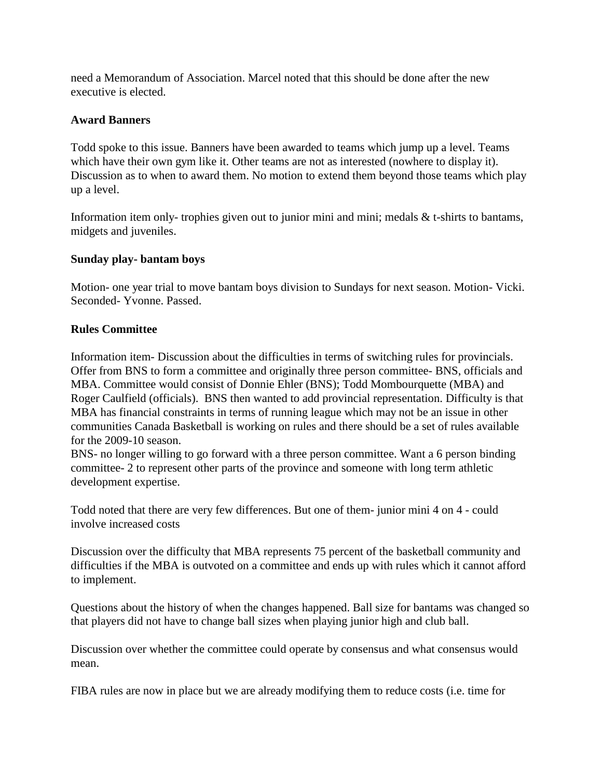need a Memorandum of Association. Marcel noted that this should be done after the new executive is elected.

### **Award Banners**

Todd spoke to this issue. Banners have been awarded to teams which jump up a level. Teams which have their own gym like it. Other teams are not as interested (nowhere to display it). Discussion as to when to award them. No motion to extend them beyond those teams which play up a level.

Information item only- trophies given out to junior mini and mini; medals & t-shirts to bantams, midgets and juveniles.

### **Sunday play- bantam boys**

Motion- one year trial to move bantam boys division to Sundays for next season. Motion- Vicki. Seconded- Yvonne. Passed.

### **Rules Committee**

Information item- Discussion about the difficulties in terms of switching rules for provincials. Offer from BNS to form a committee and originally three person committee- BNS, officials and MBA. Committee would consist of Donnie Ehler (BNS); Todd Mombourquette (MBA) and Roger Caulfield (officials). BNS then wanted to add provincial representation. Difficulty is that MBA has financial constraints in terms of running league which may not be an issue in other communities Canada Basketball is working on rules and there should be a set of rules available for the 2009-10 season.

BNS- no longer willing to go forward with a three person committee. Want a 6 person binding committee- 2 to represent other parts of the province and someone with long term athletic development expertise.

Todd noted that there are very few differences. But one of them- junior mini 4 on 4 - could involve increased costs

Discussion over the difficulty that MBA represents 75 percent of the basketball community and difficulties if the MBA is outvoted on a committee and ends up with rules which it cannot afford to implement.

Questions about the history of when the changes happened. Ball size for bantams was changed so that players did not have to change ball sizes when playing junior high and club ball.

Discussion over whether the committee could operate by consensus and what consensus would mean.

FIBA rules are now in place but we are already modifying them to reduce costs (i.e. time for